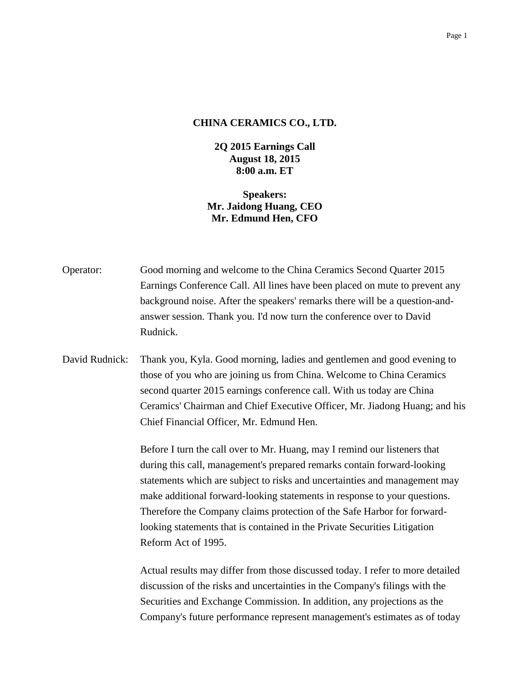## **CHINA CERAMICS CO., LTD.**

**2Q 2015 Earnings Call August 18, 2015 8:00 a.m. ET**

**Speakers: Mr. Jaidong Huang, CEO Mr. Edmund Hen, CFO**

| Operator: | Good morning and welcome to the China Ceramics Second Quarter 2015          |
|-----------|-----------------------------------------------------------------------------|
|           | Earnings Conference Call. All lines have been placed on mute to prevent any |
|           | background noise. After the speakers' remarks there will be a question-and- |
|           | answer session. Thank you. I'd now turn the conference over to David        |
|           | Rudnick.                                                                    |
|           |                                                                             |

David Rudnick: Thank you, Kyla. Good morning, ladies and gentlemen and good evening to those of you who are joining us from China. Welcome to China Ceramics second quarter 2015 earnings conference call. With us today are China Ceramics' Chairman and Chief Executive Officer, Mr. Jiadong Huang; and his Chief Financial Officer, Mr. Edmund Hen.

> Before I turn the call over to Mr. Huang, may I remind our listeners that during this call, management's prepared remarks contain forward-looking statements which are subject to risks and uncertainties and management may make additional forward-looking statements in response to your questions. Therefore the Company claims protection of the Safe Harbor for forwardlooking statements that is contained in the Private Securities Litigation Reform Act of 1995.

> Actual results may differ from those discussed today. I refer to more detailed discussion of the risks and uncertainties in the Company's filings with the Securities and Exchange Commission. In addition, any projections as the Company's future performance represent management's estimates as of today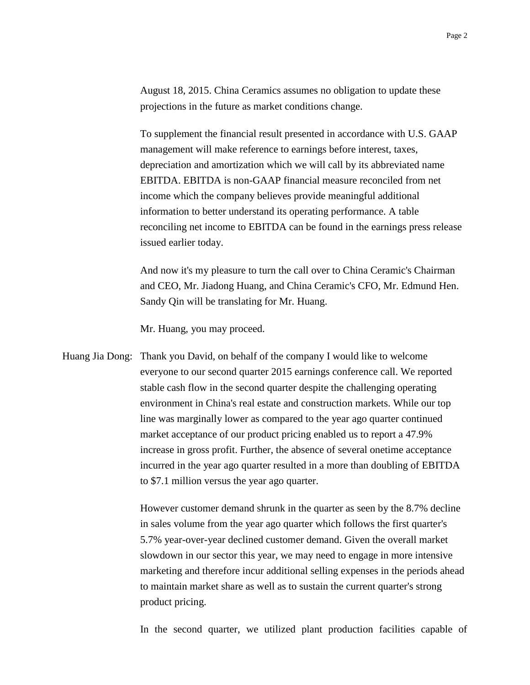August 18, 2015. China Ceramics assumes no obligation to update these projections in the future as market conditions change.

To supplement the financial result presented in accordance with U.S. GAAP management will make reference to earnings before interest, taxes, depreciation and amortization which we will call by its abbreviated name EBITDA. EBITDA is non-GAAP financial measure reconciled from net income which the company believes provide meaningful additional information to better understand its operating performance. A table reconciling net income to EBITDA can be found in the earnings press release issued earlier today.

And now it's my pleasure to turn the call over to China Ceramic's Chairman and CEO, Mr. Jiadong Huang, and China Ceramic's CFO, Mr. Edmund Hen. Sandy Qin will be translating for Mr. Huang.

Mr. Huang, you may proceed.

Huang Jia Dong: Thank you David, on behalf of the company I would like to welcome everyone to our second quarter 2015 earnings conference call. We reported stable cash flow in the second quarter despite the challenging operating environment in China's real estate and construction markets. While our top line was marginally lower as compared to the year ago quarter continued market acceptance of our product pricing enabled us to report a 47.9% increase in gross profit. Further, the absence of several onetime acceptance incurred in the year ago quarter resulted in a more than doubling of EBITDA to \$7.1 million versus the year ago quarter.

> However customer demand shrunk in the quarter as seen by the 8.7% decline in sales volume from the year ago quarter which follows the first quarter's 5.7% year-over-year declined customer demand. Given the overall market slowdown in our sector this year, we may need to engage in more intensive marketing and therefore incur additional selling expenses in the periods ahead to maintain market share as well as to sustain the current quarter's strong product pricing.

> In the second quarter, we utilized plant production facilities capable of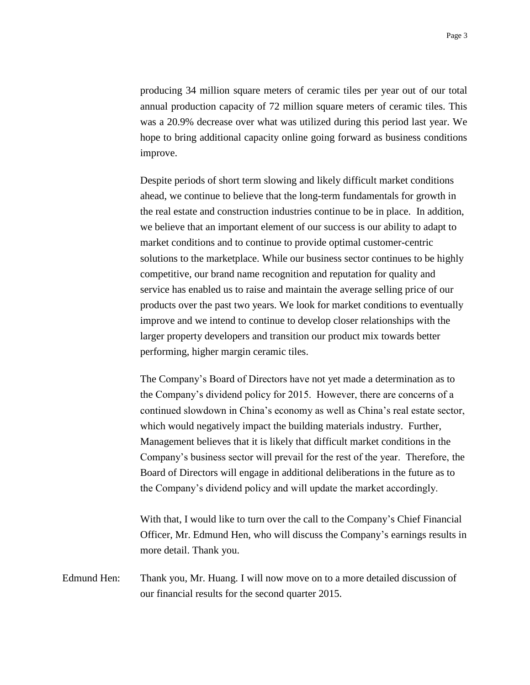producing 34 million square meters of ceramic tiles per year out of our total annual production capacity of 72 million square meters of ceramic tiles. This was a 20.9% decrease over what was utilized during this period last year. We hope to bring additional capacity online going forward as business conditions improve.

Despite periods of short term slowing and likely difficult market conditions ahead, we continue to believe that the long-term fundamentals for growth in the real estate and construction industries continue to be in place. In addition, we believe that an important element of our success is our ability to adapt to market conditions and to continue to provide optimal customer-centric solutions to the marketplace. While our business sector continues to be highly competitive, our brand name recognition and reputation for quality and service has enabled us to raise and maintain the average selling price of our products over the past two years. We look for market conditions to eventually improve and we intend to continue to develop closer relationships with the larger property developers and transition our product mix towards better performing, higher margin ceramic tiles.

The Company's Board of Directors have not yet made a determination as to the Company's dividend policy for 2015. However, there are concerns of a continued slowdown in China's economy as well as China's real estate sector, which would negatively impact the building materials industry. Further, Management believes that it is likely that difficult market conditions in the Company's business sector will prevail for the rest of the year. Therefore, the Board of Directors will engage in additional deliberations in the future as to the Company's dividend policy and will update the market accordingly.

With that, I would like to turn over the call to the Company's Chief Financial Officer, Mr. Edmund Hen, who will discuss the Company's earnings results in more detail. Thank you.

Edmund Hen: Thank you, Mr. Huang. I will now move on to a more detailed discussion of our financial results for the second quarter 2015.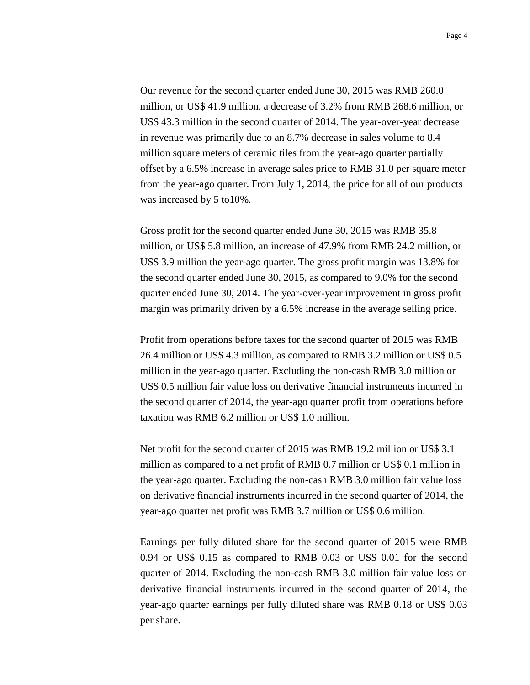Our revenue for the second quarter ended June 30, 2015 was RMB 260.0 million, or US\$ 41.9 million, a decrease of 3.2% from RMB 268.6 million, or US\$ 43.3 million in the second quarter of 2014. The year-over-year decrease in revenue was primarily due to an 8.7% decrease in sales volume to 8.4 million square meters of ceramic tiles from the year-ago quarter partially offset by a 6.5% increase in average sales price to RMB 31.0 per square meter from the year-ago quarter. From July 1, 2014, the price for all of our products was increased by 5 to10%.

Gross profit for the second quarter ended June 30, 2015 was RMB 35.8 million, or US\$ 5.8 million, an increase of 47.9% from RMB 24.2 million, or US\$ 3.9 million the year-ago quarter. The gross profit margin was 13.8% for the second quarter ended June 30, 2015, as compared to 9.0% for the second quarter ended June 30, 2014. The year-over-year improvement in gross profit margin was primarily driven by a 6.5% increase in the average selling price.

Profit from operations before taxes for the second quarter of 2015 was RMB 26.4 million or US\$ 4.3 million, as compared to RMB 3.2 million or US\$ 0.5 million in the year-ago quarter. Excluding the non-cash RMB 3.0 million or US\$ 0.5 million fair value loss on derivative financial instruments incurred in the second quarter of 2014, the year-ago quarter profit from operations before taxation was RMB 6.2 million or US\$ 1.0 million.

Net profit for the second quarter of 2015 was RMB 19.2 million or US\$ 3.1 million as compared to a net profit of RMB 0.7 million or US\$ 0.1 million in the year-ago quarter. Excluding the non-cash RMB 3.0 million fair value loss on derivative financial instruments incurred in the second quarter of 2014, the year-ago quarter net profit was RMB 3.7 million or US\$ 0.6 million.

Earnings per fully diluted share for the second quarter of 2015 were RMB 0.94 or US\$ 0.15 as compared to RMB 0.03 or US\$ 0.01 for the second quarter of 2014. Excluding the non-cash RMB 3.0 million fair value loss on derivative financial instruments incurred in the second quarter of 2014, the year-ago quarter earnings per fully diluted share was RMB 0.18 or US\$ 0.03 per share.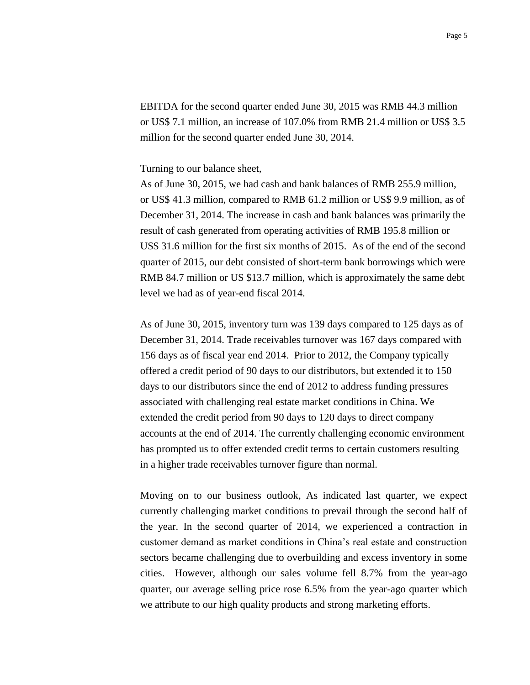EBITDA for the second quarter ended June 30, 2015 was RMB 44.3 million or US\$ 7.1 million, an increase of 107.0% from RMB 21.4 million or US\$ 3.5 million for the second quarter ended June 30, 2014.

Turning to our balance sheet,

As of June 30, 2015, we had cash and bank balances of RMB 255.9 million, or US\$ 41.3 million, compared to RMB 61.2 million or US\$ 9.9 million, as of December 31, 2014. The increase in cash and bank balances was primarily the result of cash generated from operating activities of RMB 195.8 million or US\$ 31.6 million for the first six months of 2015. As of the end of the second quarter of 2015, our debt consisted of short-term bank borrowings which were RMB 84.7 million or US \$13.7 million, which is approximately the same debt level we had as of year-end fiscal 2014.

As of June 30, 2015, inventory turn was 139 days compared to 125 days as of December 31, 2014. Trade receivables turnover was 167 days compared with 156 days as of fiscal year end 2014. Prior to 2012, the Company typically offered a credit period of 90 days to our distributors, but extended it to 150 days to our distributors since the end of 2012 to address funding pressures associated with challenging real estate market conditions in China. We extended the credit period from 90 days to 120 days to direct company accounts at the end of 2014. The currently challenging economic environment has prompted us to offer extended credit terms to certain customers resulting in a higher trade receivables turnover figure than normal.

Moving on to our business outlook, As indicated last quarter, we expect currently challenging market conditions to prevail through the second half of the year. In the second quarter of 2014, we experienced a contraction in customer demand as market conditions in China's real estate and construction sectors became challenging due to overbuilding and excess inventory in some cities. However, although our sales volume fell 8.7% from the year-ago quarter, our average selling price rose 6.5% from the year-ago quarter which we attribute to our high quality products and strong marketing efforts.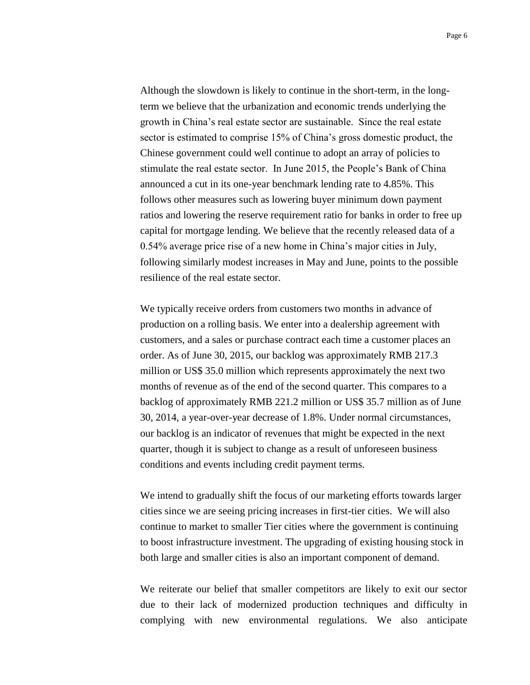Although the slowdown is likely to continue in the short-term, in the longterm we believe that the urbanization and economic trends underlying the growth in China's real estate sector are sustainable. Since the real estate sector is estimated to comprise 15% of China's gross domestic product, the Chinese government could well continue to adopt an array of policies to stimulate the real estate sector. In June 2015, the People's Bank of China announced a cut in its one-year benchmark lending rate to 4.85%. This follows other measures such as lowering buyer minimum down payment ratios and lowering the reserve requirement ratio for banks in order to free up capital for mortgage lending. We believe that the recently released data of a 0.54% average price rise of a new home in China's major cities in July, following similarly modest increases in May and June, points to the possible resilience of the real estate sector.

We typically receive orders from customers two months in advance of production on a rolling basis. We enter into a dealership agreement with customers, and a sales or purchase contract each time a customer places an order. As of June 30, 2015, our backlog was approximately RMB 217.3 million or US\$ 35.0 million which represents approximately the next two months of revenue as of the end of the second quarter. This compares to a backlog of approximately RMB 221.2 million or US\$ 35.7 million as of June 30, 2014, a year-over-year decrease of 1.8%. Under normal circumstances, our backlog is an indicator of revenues that might be expected in the next quarter, though it is subject to change as a result of unforeseen business conditions and events including credit payment terms.

We intend to gradually shift the focus of our marketing efforts towards larger cities since we are seeing pricing increases in first-tier cities. We will also continue to market to smaller Tier cities where the government is continuing to boost infrastructure investment. The upgrading of existing housing stock in both large and smaller cities is also an important component of demand.

We reiterate our belief that smaller competitors are likely to exit our sector due to their lack of modernized production techniques and difficulty in complying with new environmental regulations. We also anticipate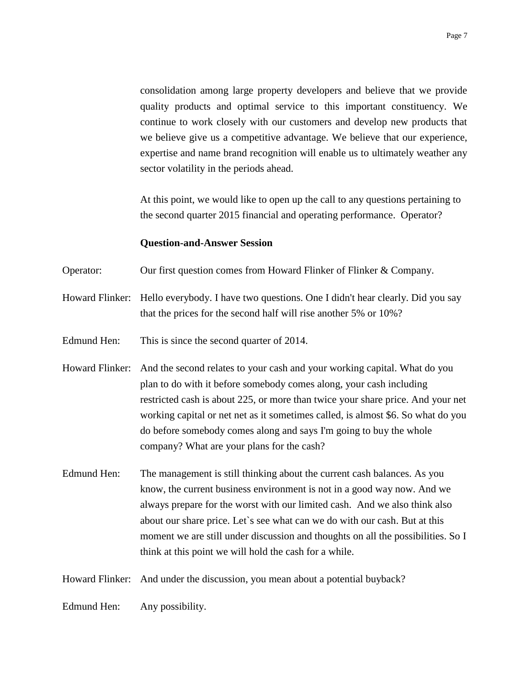consolidation among large property developers and believe that we provide quality products and optimal service to this important constituency. We continue to work closely with our customers and develop new products that we believe give us a competitive advantage. We believe that our experience, expertise and name brand recognition will enable us to ultimately weather any sector volatility in the periods ahead.

At this point, we would like to open up the call to any questions pertaining to the second quarter 2015 financial and operating performance. Operator?

## **Question-and-Answer Session**

Operator: Our first question comes from Howard Flinker of Flinker & Company.

Howard Flinker: Hello everybody. I have two questions. One I didn't hear clearly. Did you say that the prices for the second half will rise another 5% or 10%?

Edmund Hen: This is since the second quarter of 2014.

Howard Flinker: And the second relates to your cash and your working capital. What do you plan to do with it before somebody comes along, your cash including restricted cash is about 225, or more than twice your share price. And your net working capital or net net as it sometimes called, is almost \$6. So what do you do before somebody comes along and says I'm going to buy the whole company? What are your plans for the cash?

Edmund Hen: The management is still thinking about the current cash balances. As you know, the current business environment is not in a good way now. And we always prepare for the worst with our limited cash. And we also think also about our share price. Let`s see what can we do with our cash. But at this moment we are still under discussion and thoughts on all the possibilities. So I think at this point we will hold the cash for a while.

Howard Flinker: And under the discussion, you mean about a potential buyback?

Edmund Hen: Any possibility.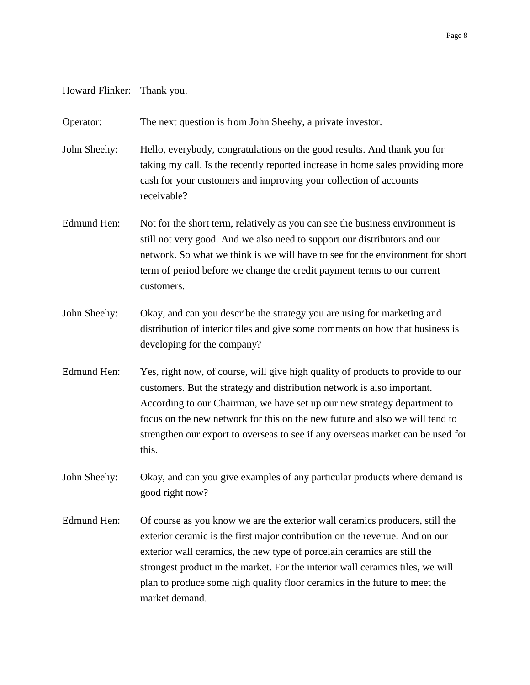## Howard Flinker: Thank you.

Operator: The next question is from John Sheehy, a private investor.

John Sheehy: Hello, everybody, congratulations on the good results. And thank you for taking my call. Is the recently reported increase in home sales providing more cash for your customers and improving your collection of accounts receivable?

- Edmund Hen: Not for the short term, relatively as you can see the business environment is still not very good. And we also need to support our distributors and our network. So what we think is we will have to see for the environment for short term of period before we change the credit payment terms to our current customers.
- John Sheehy: Okay, and can you describe the strategy you are using for marketing and distribution of interior tiles and give some comments on how that business is developing for the company?
- Edmund Hen: Yes, right now, of course, will give high quality of products to provide to our customers. But the strategy and distribution network is also important. According to our Chairman, we have set up our new strategy department to focus on the new network for this on the new future and also we will tend to strengthen our export to overseas to see if any overseas market can be used for this.
- John Sheehy: Okay, and can you give examples of any particular products where demand is good right now?
- Edmund Hen: Of course as you know we are the exterior wall ceramics producers, still the exterior ceramic is the first major contribution on the revenue. And on our exterior wall ceramics, the new type of porcelain ceramics are still the strongest product in the market. For the interior wall ceramics tiles, we will plan to produce some high quality floor ceramics in the future to meet the market demand.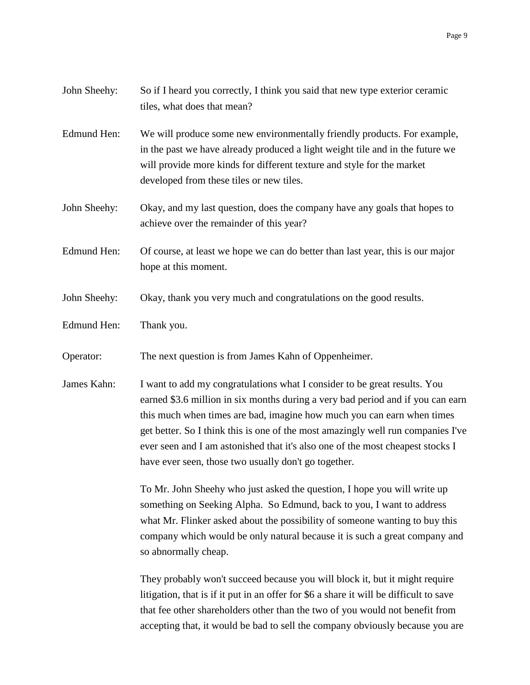## John Sheehy: So if I heard you correctly, I think you said that new type exterior ceramic tiles, what does that mean?

- Edmund Hen: We will produce some new environmentally friendly products. For example, in the past we have already produced a light weight tile and in the future we will provide more kinds for different texture and style for the market developed from these tiles or new tiles.
- John Sheehy: Okay, and my last question, does the company have any goals that hopes to achieve over the remainder of this year?
- Edmund Hen: Of course, at least we hope we can do better than last year, this is our major hope at this moment.
- John Sheehy: Okay, thank you very much and congratulations on the good results.
- Edmund Hen: Thank you.
- Operator: The next question is from James Kahn of Oppenheimer.
- James Kahn: I want to add my congratulations what I consider to be great results. You earned \$3.6 million in six months during a very bad period and if you can earn this much when times are bad, imagine how much you can earn when times get better. So I think this is one of the most amazingly well run companies I've ever seen and I am astonished that it's also one of the most cheapest stocks I have ever seen, those two usually don't go together.

To Mr. John Sheehy who just asked the question, I hope you will write up something on Seeking Alpha. So Edmund, back to you, I want to address what Mr. Flinker asked about the possibility of someone wanting to buy this company which would be only natural because it is such a great company and so abnormally cheap.

They probably won't succeed because you will block it, but it might require litigation, that is if it put in an offer for \$6 a share it will be difficult to save that fee other shareholders other than the two of you would not benefit from accepting that, it would be bad to sell the company obviously because you are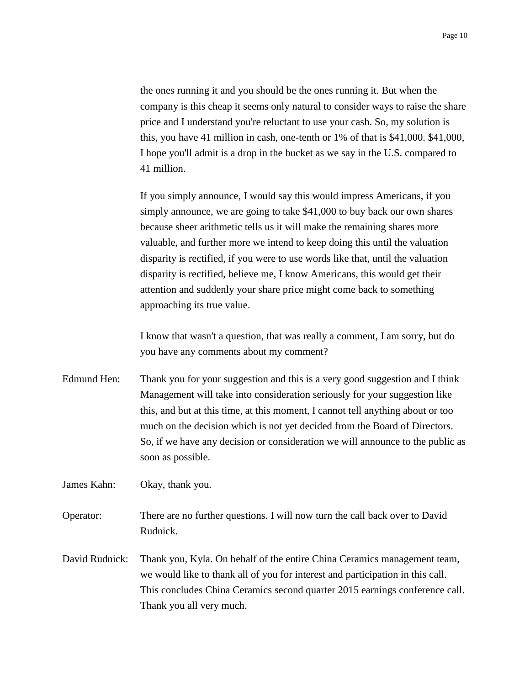the ones running it and you should be the ones running it. But when the company is this cheap it seems only natural to consider ways to raise the share price and I understand you're reluctant to use your cash. So, my solution is this, you have 41 million in cash, one-tenth or 1% of that is \$41,000. \$41,000, I hope you'll admit is a drop in the bucket as we say in the U.S. compared to 41 million.

If you simply announce, I would say this would impress Americans, if you simply announce, we are going to take \$41,000 to buy back our own shares because sheer arithmetic tells us it will make the remaining shares more valuable, and further more we intend to keep doing this until the valuation disparity is rectified, if you were to use words like that, until the valuation disparity is rectified, believe me, I know Americans, this would get their attention and suddenly your share price might come back to something approaching its true value.

I know that wasn't a question, that was really a comment, I am sorry, but do you have any comments about my comment?

Edmund Hen: Thank you for your suggestion and this is a very good suggestion and I think Management will take into consideration seriously for your suggestion like this, and but at this time, at this moment, I cannot tell anything about or too much on the decision which is not yet decided from the Board of Directors. So, if we have any decision or consideration we will announce to the public as soon as possible.

James Kahn: Okay, thank you.

- Operator: There are no further questions. I will now turn the call back over to David Rudnick.
- David Rudnick: Thank you, Kyla. On behalf of the entire China Ceramics management team, we would like to thank all of you for interest and participation in this call. This concludes China Ceramics second quarter 2015 earnings conference call. Thank you all very much.